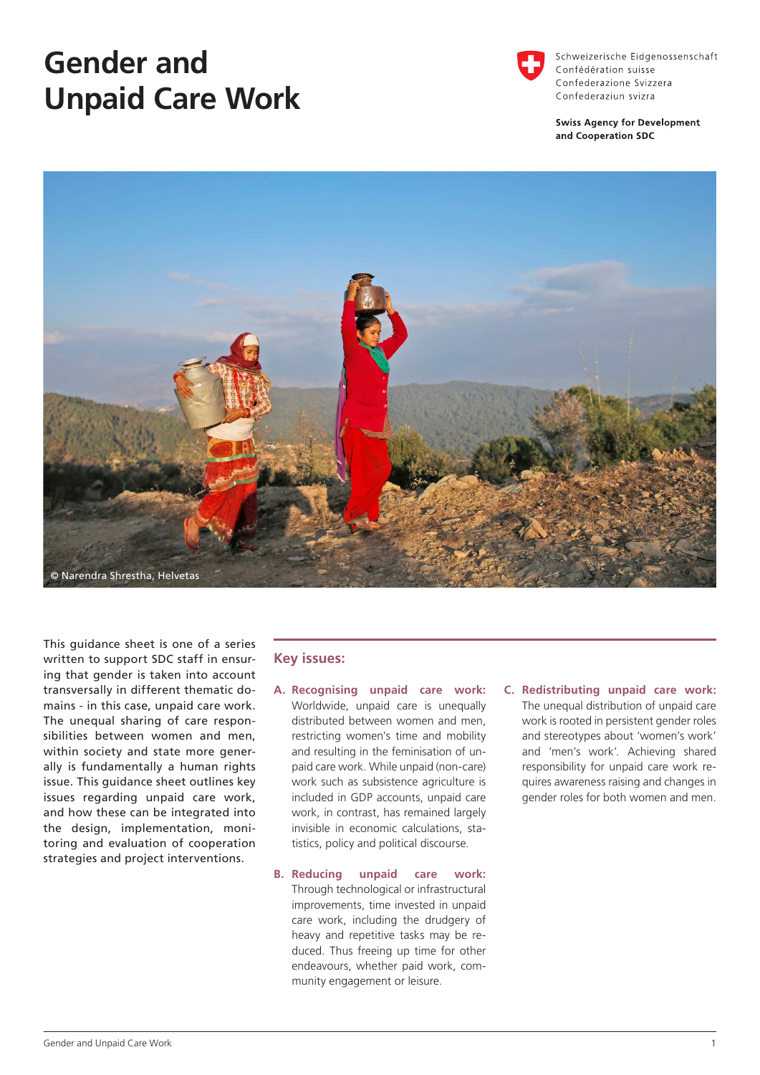# **Gender and Unpaid Care Work**



Schweizerische Eidgenossenschaft Confédération suisse Confederazione Svizzera Confederaziun svizra

**Swiss Agency for Development** and Cooperation SDC



This guidance sheet is one of a series written to support SDC staff in ensuring that gender is taken into account transversally in different thematic domains - in this case, unpaid care work. The unequal sharing of care responsibilities between women and men, within society and state more generally is fundamentally a human rights issue. This guidance sheet outlines key issues regarding unpaid care work, and how these can be integrated into the design, implementation, monitoring and evaluation of cooperation strategies and project interventions.

### **Key issues:**

- **A. Recognising unpaid care work:** Worldwide, unpaid care is unequally distributed between women and men, restricting women's time and mobility and resulting in the feminisation of unpaid care work. While unpaid (non-care) work such as subsistence agriculture is included in GDP accounts, unpaid care work, in contrast, has remained largely invisible in economic calculations, statistics, policy and political discourse.
- **B. Reducing unpaid care work:** Through technological or infrastructural improvements, time invested in unpaid care work, including the drudgery of heavy and repetitive tasks may be reduced. Thus freeing up time for other endeavours, whether paid work, community engagement or leisure.
- **C. Redistributing unpaid care work:** The unequal distribution of unpaid care work is rooted in persistent gender roles and stereotypes about 'women's work' and 'men's work'. Achieving shared responsibility for unpaid care work requires awareness raising and changes in gender roles for both women and men.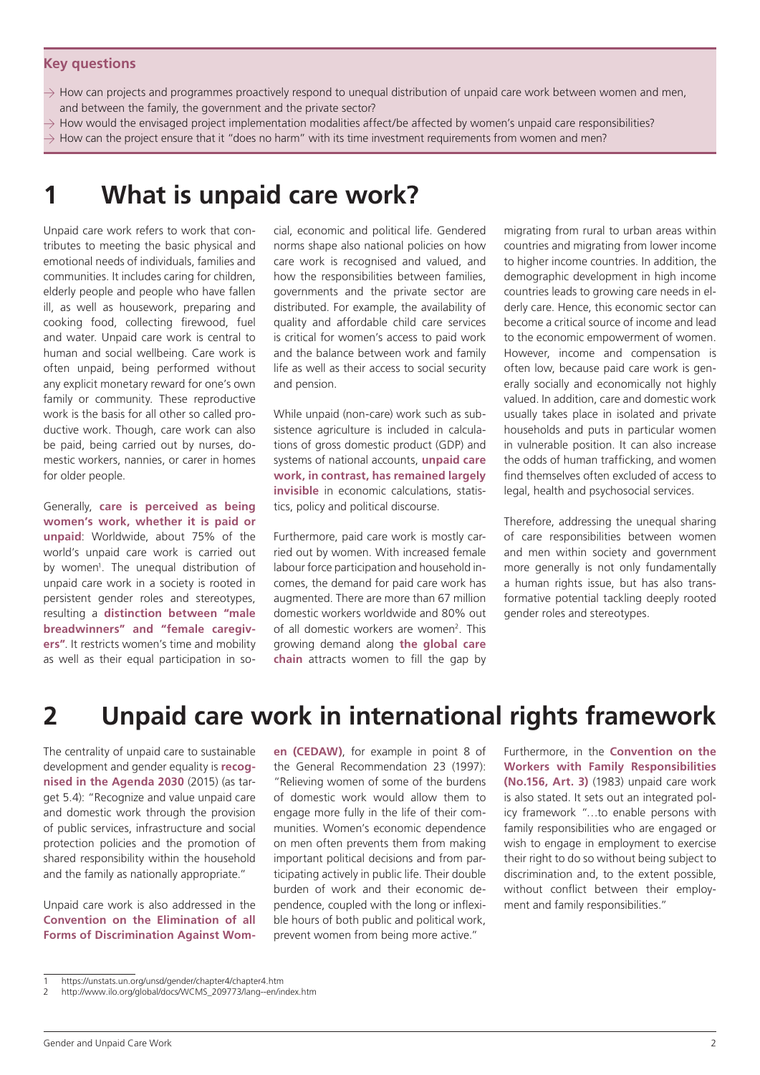#### **Key questions**

- $\rightarrow$  How can projects and programmes proactively respond to unequal distribution of unpaid care work between women and men, and between the family, the government and the private sector?
- $\rightarrow$  How would the envisaged project implementation modalities affect/be affected by women's unpaid care responsibilities?
- $\rightarrow$  How can the project ensure that it "does no harm" with its time investment requirements from women and men?

### **1 What is unpaid care work?**

Unpaid care work refers to work that contributes to meeting the basic physical and emotional needs of individuals, families and communities. It includes caring for children, elderly people and people who have fallen ill, as well as housework, preparing and cooking food, collecting firewood, fuel and water. Unpaid care work is central to human and social wellbeing. Care work is often unpaid, being performed without any explicit monetary reward for one's own family or community. These reproductive work is the basis for all other so called productive work. Though, care work can also be paid, being carried out by nurses, domestic workers, nannies, or carer in homes for older people.

Generally, **care is perceived as being women's work, whether it is paid or unpaid**: Worldwide, about 75% of the world's unpaid care work is carried out by women<sup>1</sup>. The unequal distribution of unpaid care work in a society is rooted in persistent gender roles and stereotypes, resulting a **distinction between "male breadwinners" and "female caregivers"**. It restricts women's time and mobility as well as their equal participation in social, economic and political life. Gendered norms shape also national policies on how care work is recognised and valued, and how the responsibilities between families, governments and the private sector are distributed. For example, the availability of quality and affordable child care services is critical for women's access to paid work and the balance between work and family life as well as their access to social security and pension.

While unpaid (non-care) work such as subsistence agriculture is included in calculations of gross domestic product (GDP) and systems of national accounts, **unpaid care work, in contrast, has remained largely invisible** in economic calculations, statistics, policy and political discourse.

Furthermore, paid care work is mostly carried out by women. With increased female labour force participation and household incomes, the demand for paid care work has augmented. There are more than 67 million domestic workers worldwide and 80% out of all domestic workers are women<sup>2</sup>. This growing demand along **the global care chain** attracts women to fill the gap by

migrating from rural to urban areas within countries and migrating from lower income to higher income countries. In addition, the demographic development in high income countries leads to growing care needs in elderly care. Hence, this economic sector can become a critical source of income and lead to the economic empowerment of women. However, income and compensation is often low, because paid care work is generally socially and economically not highly valued. In addition, care and domestic work usually takes place in isolated and private households and puts in particular women in vulnerable position. It can also increase the odds of human trafficking, and women find themselves often excluded of access to legal, health and psychosocial services.

Therefore, addressing the unequal sharing of care responsibilities between women and men within society and government more generally is not only fundamentally a human rights issue, but has also transformative potential tackling deeply rooted gender roles and stereotypes.

### **2 Unpaid care work in international rights framework**

The centrality of unpaid care to sustainable development and gender equality is **recognised in the Agenda 2030** (2015) (as target 5.4): "Recognize and value unpaid care and domestic work through the provision of public services, infrastructure and social protection policies and the promotion of shared responsibility within the household and the family as nationally appropriate."

Unpaid care work is also addressed in the **Convention on the Elimination of all Forms of Discrimination Against Wom-** **en (CEDAW)**, for example in point 8 of the General Recommendation 23 (1997): "Relieving women of some of the burdens of domestic work would allow them to engage more fully in the life of their communities. Women's economic dependence on men often prevents them from making important political decisions and from participating actively in public life. Their double burden of work and their economic dependence, coupled with the long or inflexible hours of both public and political work, prevent women from being more active."

Furthermore, in the **Convention on the Workers with Family Responsibilities (No.156, Art. 3)** (1983) unpaid care work is also stated. It sets out an integrated policy framework "…to enable persons with family responsibilities who are engaged or wish to engage in employment to exercise their right to do so without being subject to discrimination and, to the extent possible, without conflict between their employment and family responsibilities."

<sup>1</sup> https://unstats.un.org/unsd/gender/chapter4/chapter4.htm

<sup>2</sup> http://www.ilo.org/global/docs/WCMS\_209773/lang--en/index.htm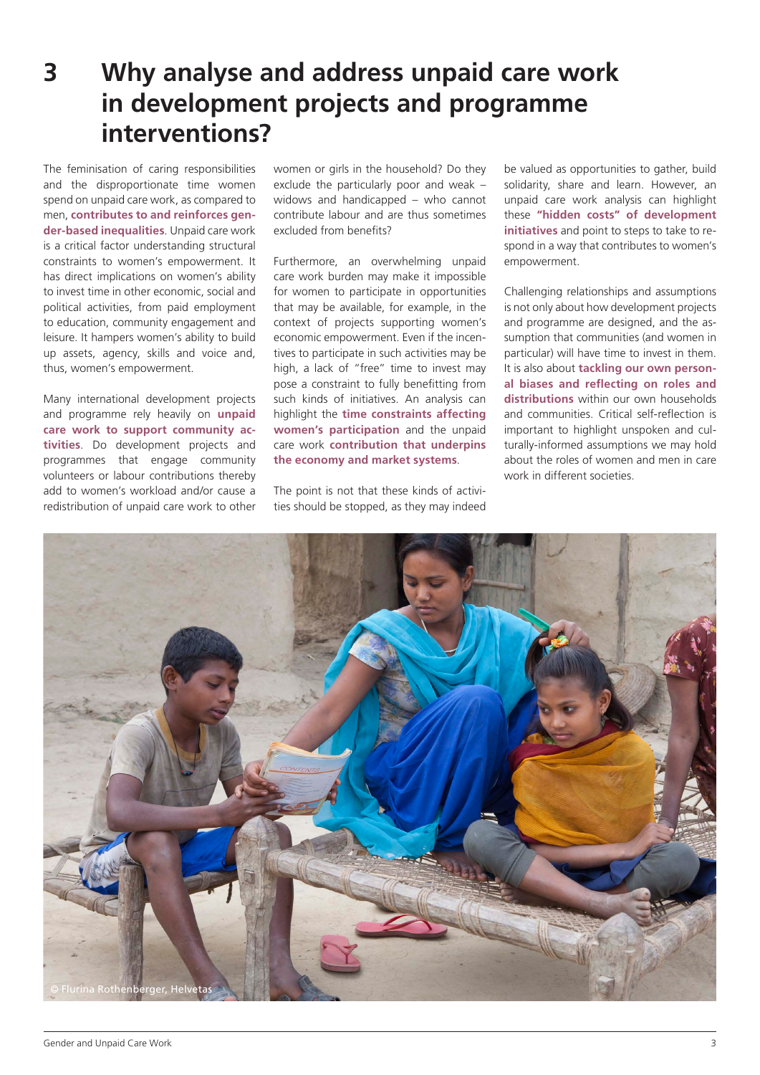### **3 Why analyse and address unpaid care work in development projects and programme interventions?**

The feminisation of caring responsibilities and the disproportionate time women spend on unpaid care work, as compared to men, **contributes to and reinforces gender-based inequalities**. Unpaid care work is a critical factor understanding structural constraints to women's empowerment. It has direct implications on women's ability to invest time in other economic, social and political activities, from paid employment to education, community engagement and leisure. It hampers women's ability to build up assets, agency, skills and voice and, thus, women's empowerment.

Many international development projects and programme rely heavily on **unpaid care work to support community activities**. Do development projects and programmes that engage community volunteers or labour contributions thereby add to women's workload and/or cause a redistribution of unpaid care work to other women or girls in the household? Do they exclude the particularly poor and weak – widows and handicapped – who cannot contribute labour and are thus sometimes excluded from benefits?

Furthermore, an overwhelming unpaid care work burden may make it impossible for women to participate in opportunities that may be available, for example, in the context of projects supporting women's economic empowerment. Even if the incentives to participate in such activities may be high, a lack of "free" time to invest may pose a constraint to fully benefitting from such kinds of initiatives. An analysis can highlight the **time constraints affecting women's participation** and the unpaid care work **contribution that underpins the economy and market systems**.

The point is not that these kinds of activities should be stopped, as they may indeed be valued as opportunities to gather, build solidarity, share and learn. However, an unpaid care work analysis can highlight these **"hidden costs" of development initiatives** and point to steps to take to respond in a way that contributes to women's empowerment.

Challenging relationships and assumptions is not only about how development projects and programme are designed, and the assumption that communities (and women in particular) will have time to invest in them. It is also about **tackling our own personal biases and reflecting on roles and distributions** within our own households and communities. Critical self-reflection is important to highlight unspoken and culturally-informed assumptions we may hold about the roles of women and men in care work in different societies.

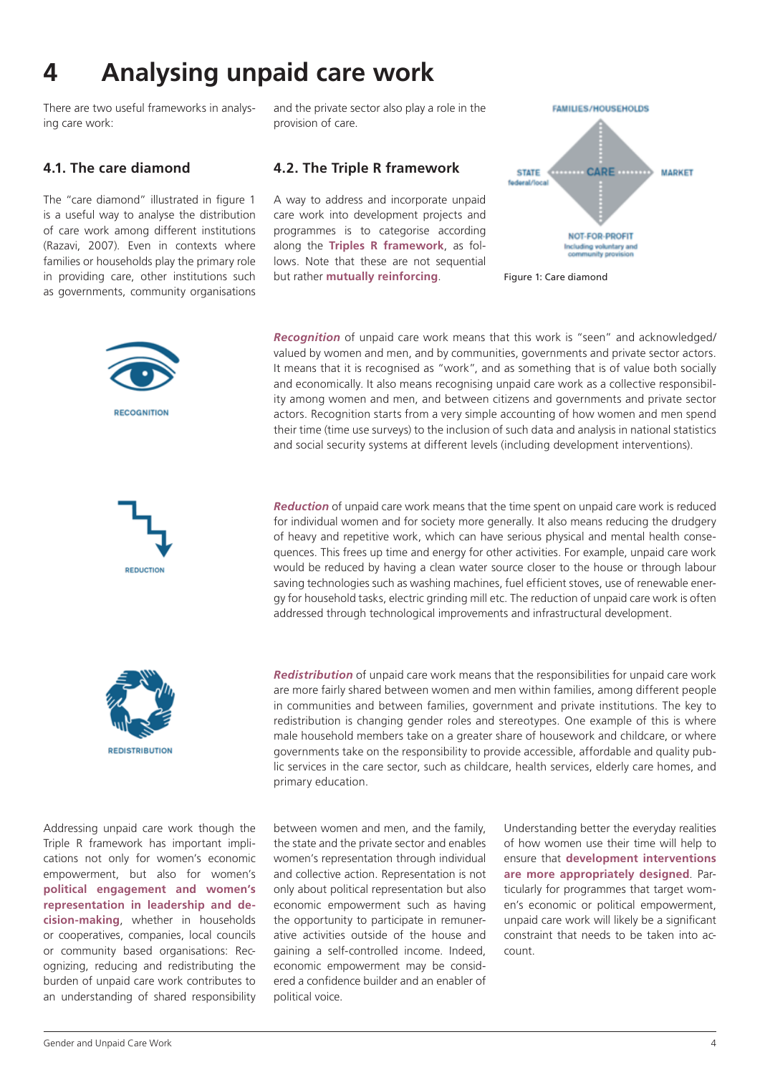# **4 Analysing unpaid care work**

There are two useful frameworks in analysing care work:

#### **4.1. The care diamond**

The "care diamond" illustrated in figure 1 is a useful way to analyse the distribution of care work among different institutions (Razavi, 2007). Even in contexts where families or households play the primary role in providing care, other institutions such as governments, community organisations and the private sector also play a role in the provision of care.

#### **4.2. The Triple R framework**

A way to address and incorporate unpaid care work into development projects and programmes is to categorise according along the **Triples R framework**, as follows. Note that these are not sequential but rather **mutually reinforcing**.



Figure 1: Care diamond







Addressing unpaid care work though the Triple R framework has important implications not only for women's economic empowerment, but also for women's **political engagement and women's representation in leadership and decision-making**, whether in households or cooperatives, companies, local councils or community based organisations: Recognizing, reducing and redistributing the burden of unpaid care work contributes to an understanding of shared responsibility *Recognition* of unpaid care work means that this work is "seen" and acknowledged/ valued by women and men, and by communities, governments and private sector actors. It means that it is recognised as "work", and as something that is of value both socially and economically. It also means recognising unpaid care work as a collective responsibility among women and men, and between citizens and governments and private sector actors. Recognition starts from a very simple accounting of how women and men spend their time (time use surveys) to the inclusion of such data and analysis in national statistics and social security systems at different levels (including development interventions).

*Reduction* of unpaid care work means that the time spent on unpaid care work is reduced for individual women and for society more generally. It also means reducing the drudgery of heavy and repetitive work, which can have serious physical and mental health consequences. This frees up time and energy for other activities. For example, unpaid care work would be reduced by having a clean water source closer to the house or through labour saving technologies such as washing machines, fuel efficient stoves, use of renewable energy for household tasks, electric grinding mill etc. The reduction of unpaid care work is often addressed through technological improvements and infrastructural development.

*Redistribution* of unpaid care work means that the responsibilities for unpaid care work are more fairly shared between women and men within families, among different people in communities and between families, government and private institutions. The key to redistribution is changing gender roles and stereotypes. One example of this is where male household members take on a greater share of housework and childcare, or where governments take on the responsibility to provide accessible, affordable and quality public services in the care sector, such as childcare, health services, elderly care homes, and primary education.

between women and men, and the family, the state and the private sector and enables women's representation through individual and collective action. Representation is not only about political representation but also economic empowerment such as having the opportunity to participate in remunerative activities outside of the house and gaining a self-controlled income. Indeed, economic empowerment may be considered a confidence builder and an enabler of political voice.

Understanding better the everyday realities of how women use their time will help to ensure that **development interventions are more appropriately designed**. Particularly for programmes that target women's economic or political empowerment, unpaid care work will likely be a significant constraint that needs to be taken into account.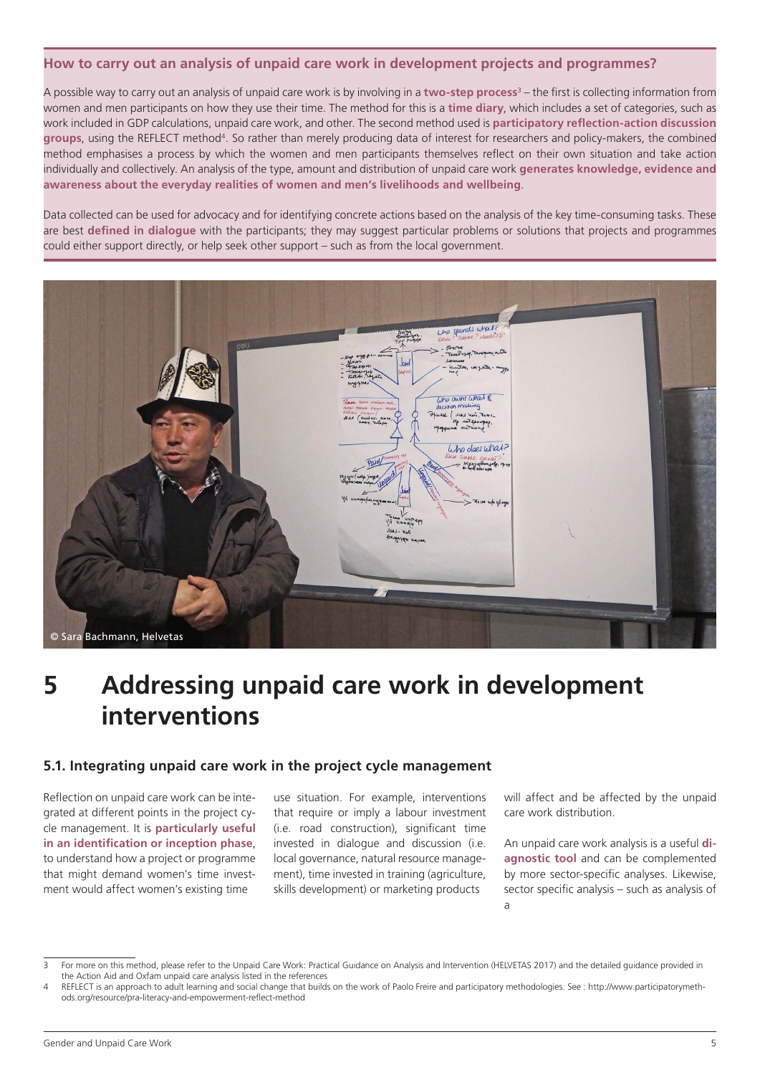#### **How to carry out an analysis of unpaid care work in development projects and programmes?**

A possible way to carry out an analysis of unpaid care work is by involving in a **two-step process**<sup>3</sup> – the first is collecting information from women and men participants on how they use their time. The method for this is a **time diary**, which includes a set of categories, such as work included in GDP calculations, unpaid care work, and other. The second method used is **participatory reflection-action discussion groups**, using the REFLECT method4. So rather than merely producing data of interest for researchers and policy-makers, the combined method emphasises a process by which the women and men participants themselves reflect on their own situation and take action individually and collectively. An analysis of the type, amount and distribution of unpaid care work **generates knowledge, evidence and awareness about the everyday realities of women and men's livelihoods and wellbeing**.

Data collected can be used for advocacy and for identifying concrete actions based on the analysis of the key time-consuming tasks. These are best **defined in dialogue** with the participants; they may suggest particular problems or solutions that projects and programmes could either support directly, or help seek other support – such as from the local government.



### **5 Addressing unpaid care work in development interventions**

#### **5.1. Integrating unpaid care work in the project cycle management**

Reflection on unpaid care work can be integrated at different points in the project cycle management. It is **particularly useful in an identification or inception phase**, to understand how a project or programme that might demand women's time investment would affect women's existing time

use situation. For example, interventions that require or imply a labour investment (i.e. road construction), significant time invested in dialogue and discussion (i.e. local governance, natural resource management), time invested in training (agriculture, skills development) or marketing products

will affect and be affected by the unpaid care work distribution.

An unpaid care work analysis is a useful **diagnostic tool** and can be complemented by more sector-specific analyses. Likewise, sector specific analysis – such as analysis of a

<sup>3</sup> For more on this method, please refer to the Unpaid Care Work: Practical Guidance on Analysis and Intervention (HELVETAS 2017) and the detailed guidance provided in the Action Aid and Oxfam unpaid care analysis listed in the references

REFLECT is an approach to adult learning and social change that builds on the work of Paolo Freire and participatory methodologies. See : http://www.participatorymethods.org/resource/pra-literacy-and-empowerment-reflect-method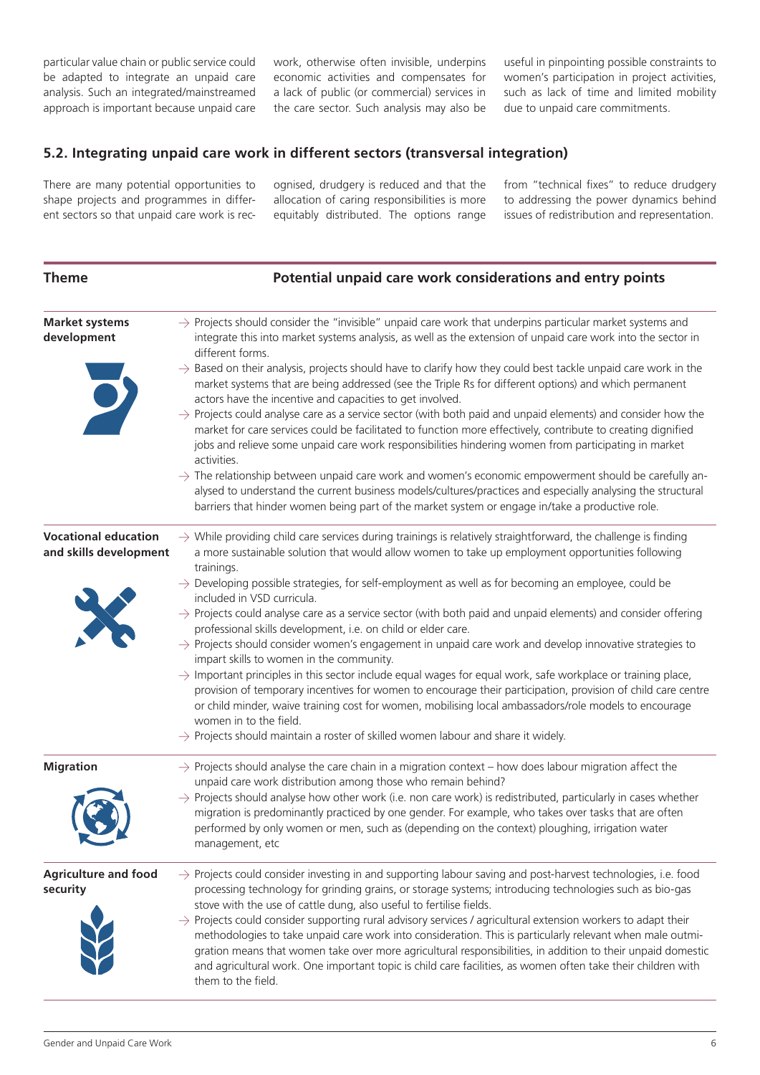particular value chain or public service could be adapted to integrate an unpaid care analysis. Such an integrated/mainstreamed approach is important because unpaid care

work, otherwise often invisible, underpins economic activities and compensates for a lack of public (or commercial) services in the care sector. Such analysis may also be

useful in pinpointing possible constraints to women's participation in project activities, such as lack of time and limited mobility due to unpaid care commitments.

### **5.2. Integrating unpaid care work in different sectors (transversal integration)**

There are many potential opportunities to shape projects and programmes in different sectors so that unpaid care work is recognised, drudgery is reduced and that the allocation of caring responsibilities is more equitably distributed. The options range from "technical fixes" to reduce drudgery to addressing the power dynamics behind issues of redistribution and representation.

| <b>Theme</b>                                          | Potential unpaid care work considerations and entry points                                                                                                                                                                                                                                                                                                                                                                                                                                                                                                                                                                                                                                                                                                                                                                                                                                                                                                                                                                                                                                                                                                                                                                                                          |
|-------------------------------------------------------|---------------------------------------------------------------------------------------------------------------------------------------------------------------------------------------------------------------------------------------------------------------------------------------------------------------------------------------------------------------------------------------------------------------------------------------------------------------------------------------------------------------------------------------------------------------------------------------------------------------------------------------------------------------------------------------------------------------------------------------------------------------------------------------------------------------------------------------------------------------------------------------------------------------------------------------------------------------------------------------------------------------------------------------------------------------------------------------------------------------------------------------------------------------------------------------------------------------------------------------------------------------------|
| <b>Market systems</b><br>development<br>J             | $\rightarrow$ Projects should consider the "invisible" unpaid care work that underpins particular market systems and<br>integrate this into market systems analysis, as well as the extension of unpaid care work into the sector in<br>different forms.<br>$\rightarrow$ Based on their analysis, projects should have to clarify how they could best tackle unpaid care work in the<br>market systems that are being addressed (see the Triple Rs for different options) and which permanent<br>actors have the incentive and capacities to get involved.<br>$\rightarrow$ Projects could analyse care as a service sector (with both paid and unpaid elements) and consider how the<br>market for care services could be facilitated to function more effectively, contribute to creating dignified<br>jobs and relieve some unpaid care work responsibilities hindering women from participating in market<br>activities.<br>$\rightarrow$ The relationship between unpaid care work and women's economic empowerment should be carefully an-<br>alysed to understand the current business models/cultures/practices and especially analysing the structural<br>barriers that hinder women being part of the market system or engage in/take a productive role. |
| <b>Vocational education</b><br>and skills development | $\rightarrow$ While providing child care services during trainings is relatively straightforward, the challenge is finding<br>a more sustainable solution that would allow women to take up employment opportunities following<br>trainings.<br>$\rightarrow$ Developing possible strategies, for self-employment as well as for becoming an employee, could be<br>included in VSD curricula.<br>$\rightarrow$ Projects could analyse care as a service sector (with both paid and unpaid elements) and consider offering<br>professional skills development, i.e. on child or elder care.<br>$\rightarrow$ Projects should consider women's engagement in unpaid care work and develop innovative strategies to<br>impart skills to women in the community.<br>$\rightarrow$ Important principles in this sector include equal wages for equal work, safe workplace or training place,<br>provision of temporary incentives for women to encourage their participation, provision of child care centre<br>or child minder, waive training cost for women, mobilising local ambassadors/role models to encourage<br>women in to the field.<br>$\rightarrow$ Projects should maintain a roster of skilled women labour and share it widely.                          |
| <b>Migration</b>                                      | $\rightarrow$ Projects should analyse the care chain in a migration context – how does labour migration affect the<br>unpaid care work distribution among those who remain behind?<br>$\rightarrow$ Projects should analyse how other work (i.e. non care work) is redistributed, particularly in cases whether<br>migration is predominantly practiced by one gender. For example, who takes over tasks that are often<br>performed by only women or men, such as (depending on the context) ploughing, irrigation water<br>management, etc                                                                                                                                                                                                                                                                                                                                                                                                                                                                                                                                                                                                                                                                                                                        |
| <b>Agriculture and food</b><br>security               | $\rightarrow$ Projects could consider investing in and supporting labour saving and post-harvest technologies, i.e. food<br>processing technology for grinding grains, or storage systems; introducing technologies such as bio-gas<br>stove with the use of cattle dung, also useful to fertilise fields.<br>$\rightarrow$ Projects could consider supporting rural advisory services / agricultural extension workers to adapt their<br>methodologies to take unpaid care work into consideration. This is particularly relevant when male outmi-<br>gration means that women take over more agricultural responsibilities, in addition to their unpaid domestic<br>and agricultural work. One important topic is child care facilities, as women often take their children with<br>them to the field.                                                                                                                                                                                                                                                                                                                                                                                                                                                            |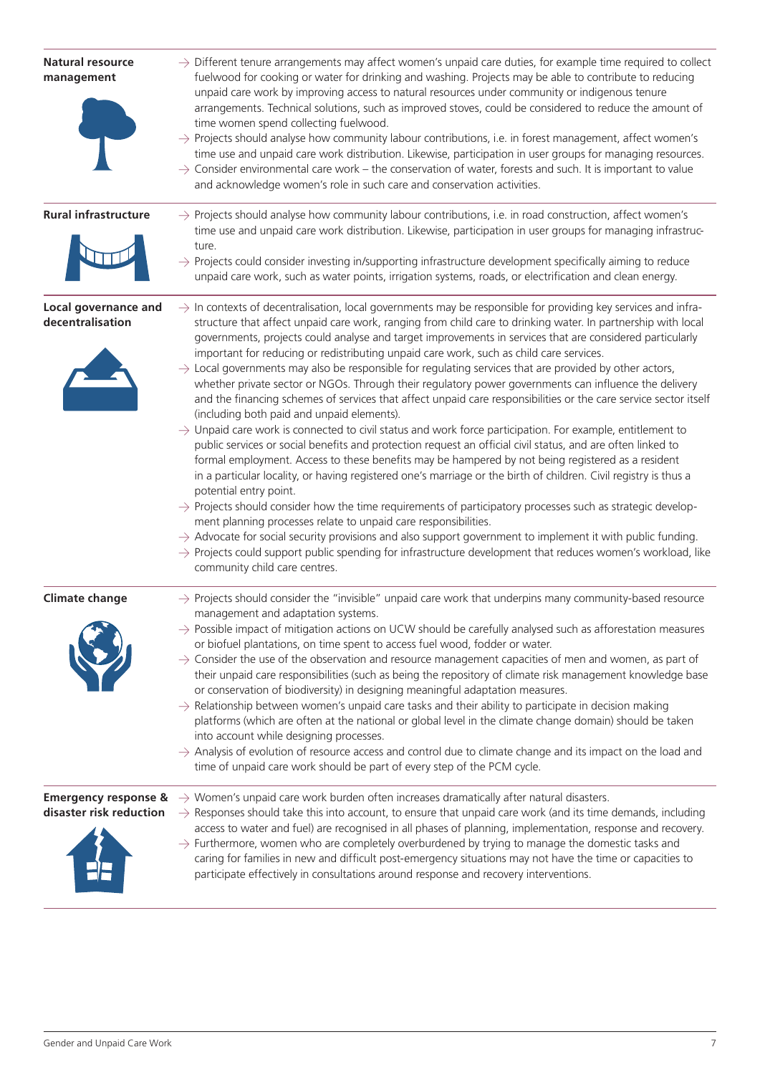| <b>Natural resource</b><br>management    | $\rightarrow$ Different tenure arrangements may affect women's unpaid care duties, for example time required to collect<br>fuelwood for cooking or water for drinking and washing. Projects may be able to contribute to reducing<br>unpaid care work by improving access to natural resources under community or indigenous tenure<br>arrangements. Technical solutions, such as improved stoves, could be considered to reduce the amount of<br>time women spend collecting fuelwood.<br>$\rightarrow$ Projects should analyse how community labour contributions, i.e. in forest management, affect women's<br>time use and unpaid care work distribution. Likewise, participation in user groups for managing resources.<br>$\rightarrow$ Consider environmental care work – the conservation of water, forests and such. It is important to value<br>and acknowledge women's role in such care and conservation activities.                                                                                                                                                                                                                                                                                                                                                                                                                                                                                                                                                                                                                                                                                                                                                                                                                                                                                                |
|------------------------------------------|---------------------------------------------------------------------------------------------------------------------------------------------------------------------------------------------------------------------------------------------------------------------------------------------------------------------------------------------------------------------------------------------------------------------------------------------------------------------------------------------------------------------------------------------------------------------------------------------------------------------------------------------------------------------------------------------------------------------------------------------------------------------------------------------------------------------------------------------------------------------------------------------------------------------------------------------------------------------------------------------------------------------------------------------------------------------------------------------------------------------------------------------------------------------------------------------------------------------------------------------------------------------------------------------------------------------------------------------------------------------------------------------------------------------------------------------------------------------------------------------------------------------------------------------------------------------------------------------------------------------------------------------------------------------------------------------------------------------------------------------------------------------------------------------------------------------------------|
| <b>Rural infrastructure</b>              | $\rightarrow$ Projects should analyse how community labour contributions, i.e. in road construction, affect women's<br>time use and unpaid care work distribution. Likewise, participation in user groups for managing infrastruc-<br>ture.<br>$\rightarrow$ Projects could consider investing in/supporting infrastructure development specifically aiming to reduce<br>unpaid care work, such as water points, irrigation systems, roads, or electrification and clean energy.                                                                                                                                                                                                                                                                                                                                                                                                                                                                                                                                                                                                                                                                                                                                                                                                                                                                                                                                                                                                                                                                                                                                                                                                                                                                                                                                                |
| Local governance and<br>decentralisation | $\rightarrow$ In contexts of decentralisation, local governments may be responsible for providing key services and infra-<br>structure that affect unpaid care work, ranging from child care to drinking water. In partnership with local<br>governments, projects could analyse and target improvements in services that are considered particularly<br>important for reducing or redistributing unpaid care work, such as child care services.<br>$\rightarrow$ Local governments may also be responsible for regulating services that are provided by other actors,<br>whether private sector or NGOs. Through their regulatory power governments can influence the delivery<br>and the financing schemes of services that affect unpaid care responsibilities or the care service sector itself<br>(including both paid and unpaid elements).<br>$\rightarrow$ Unpaid care work is connected to civil status and work force participation. For example, entitlement to<br>public services or social benefits and protection request an official civil status, and are often linked to<br>formal employment. Access to these benefits may be hampered by not being registered as a resident<br>in a particular locality, or having registered one's marriage or the birth of children. Civil registry is thus a<br>potential entry point.<br>$\rightarrow$ Projects should consider how the time requirements of participatory processes such as strategic develop-<br>ment planning processes relate to unpaid care responsibilities.<br>$\rightarrow$ Advocate for social security provisions and also support government to implement it with public funding.<br>$\rightarrow$ Projects could support public spending for infrastructure development that reduces women's workload, like<br>community child care centres. |
| <b>Climate change</b>                    | $\rightarrow$ Projects should consider the "invisible" unpaid care work that underpins many community-based resource<br>management and adaptation systems.<br>$\rightarrow$ Possible impact of mitigation actions on UCW should be carefully analysed such as afforestation measures<br>or biofuel plantations, on time spent to access fuel wood, fodder or water.<br>$\rightarrow$ Consider the use of the observation and resource management capacities of men and women, as part of<br>their unpaid care responsibilities (such as being the repository of climate risk management knowledge base<br>or conservation of biodiversity) in designing meaningful adaptation measures.<br>$\rightarrow$ Relationship between women's unpaid care tasks and their ability to participate in decision making<br>platforms (which are often at the national or global level in the climate change domain) should be taken<br>into account while designing processes.<br>$\rightarrow$ Analysis of evolution of resource access and control due to climate change and its impact on the load and<br>time of unpaid care work should be part of every step of the PCM cycle.                                                                                                                                                                                                                                                                                                                                                                                                                                                                                                                                                                                                                                                        |
| disaster risk reduction                  | <b>Emergency response &amp;</b> $\rightarrow$ Women's unpaid care work burden often increases dramatically after natural disasters.<br>$\rightarrow$ Responses should take this into account, to ensure that unpaid care work (and its time demands, including<br>access to water and fuel) are recognised in all phases of planning, implementation, response and recovery.<br>$\rightarrow$ Furthermore, women who are completely overburdened by trying to manage the domestic tasks and<br>caring for families in new and difficult post-emergency situations may not have the time or capacities to<br>participate effectively in consultations around response and recovery interventions.                                                                                                                                                                                                                                                                                                                                                                                                                                                                                                                                                                                                                                                                                                                                                                                                                                                                                                                                                                                                                                                                                                                                |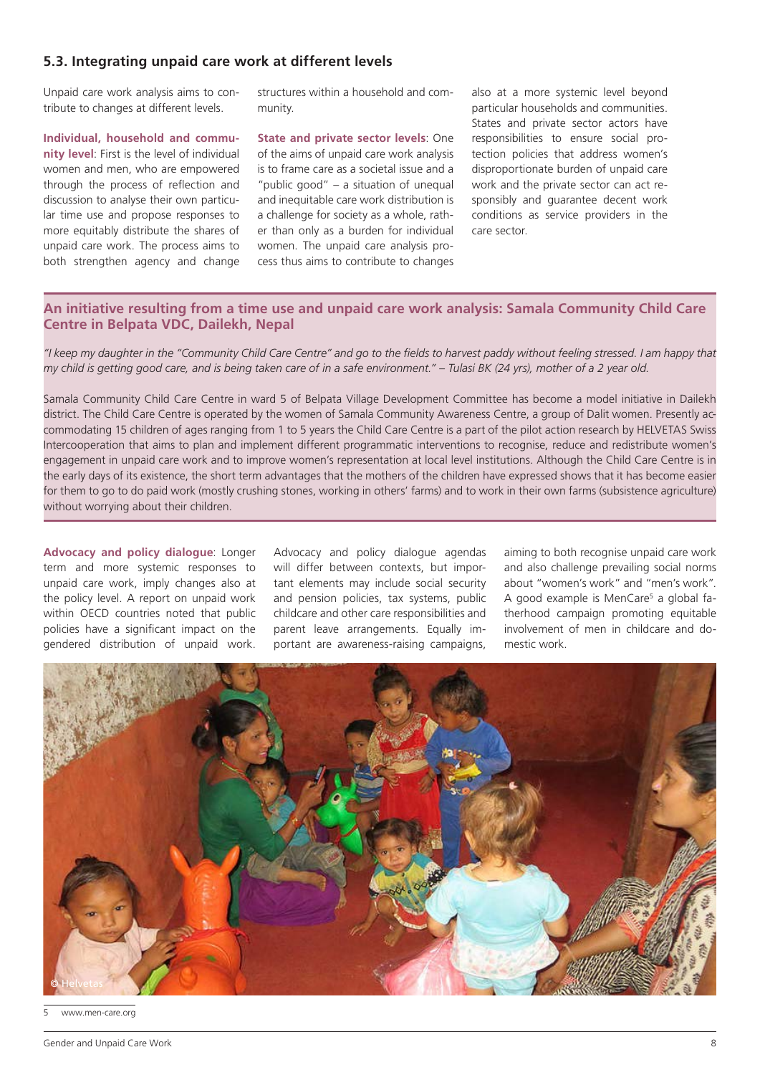### **5.3. Integrating unpaid care work at different levels**

Unpaid care work analysis aims to contribute to changes at different levels.

**Individual, household and community level**: First is the level of individual women and men, who are empowered through the process of reflection and discussion to analyse their own particular time use and propose responses to more equitably distribute the shares of unpaid care work. The process aims to both strengthen agency and change structures within a household and community.

**State and private sector levels**: One of the aims of unpaid care work analysis is to frame care as a societal issue and a "public good" – a situation of unequal and inequitable care work distribution is a challenge for society as a whole, rather than only as a burden for individual women. The unpaid care analysis process thus aims to contribute to changes

also at a more systemic level beyond particular households and communities. States and private sector actors have responsibilities to ensure social protection policies that address women's disproportionate burden of unpaid care work and the private sector can act responsibly and guarantee decent work conditions as service providers in the care sector.

#### **An initiative resulting from a time use and unpaid care work analysis: Samala Community Child Care Centre in Belpata VDC, Dailekh, Nepal**

*"I keep my daughter in the "Community Child Care Centre" and go to the fields to harvest paddy without feeling stressed. I am happy that my child is getting good care, and is being taken care of in a safe environment." – Tulasi BK (24 yrs), mother of a 2 year old.*

Samala Community Child Care Centre in ward 5 of Belpata Village Development Committee has become a model initiative in Dailekh district. The Child Care Centre is operated by the women of Samala Community Awareness Centre, a group of Dalit women. Presently accommodating 15 children of ages ranging from 1 to 5 years the Child Care Centre is a part of the pilot action research by HELVETAS Swiss Intercooperation that aims to plan and implement different programmatic interventions to recognise, reduce and redistribute women's engagement in unpaid care work and to improve women's representation at local level institutions. Although the Child Care Centre is in the early days of its existence, the short term advantages that the mothers of the children have expressed shows that it has become easier for them to go to do paid work (mostly crushing stones, working in others' farms) and to work in their own farms (subsistence agriculture) without worrying about their children.

**Advocacy and policy dialogue**: Longer term and more systemic responses to unpaid care work, imply changes also at the policy level. A report on unpaid work within OECD countries noted that public policies have a significant impact on the gendered distribution of unpaid work.

Advocacy and policy dialogue agendas will differ between contexts, but important elements may include social security and pension policies, tax systems, public childcare and other care responsibilities and parent leave arrangements. Equally important are awareness-raising campaigns,

aiming to both recognise unpaid care work and also challenge prevailing social norms about "women's work" and "men's work". A good example is MenCare<sup>5</sup> a global fatherhood campaign promoting equitable involvement of men in childcare and domestic work.



www.men-care.org